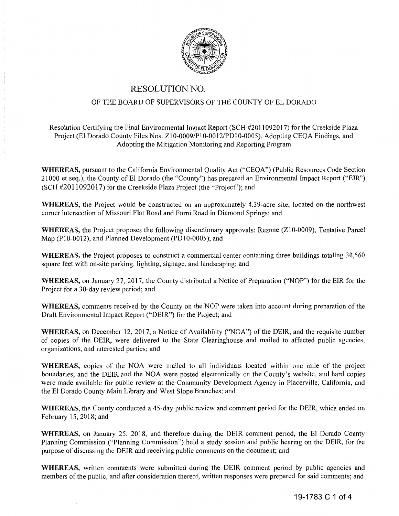

## RESOLUTION NO.

## OF THE BOARD OF SUPERVISORS OF THE COUNTY OF EL DORADO

Resolution Certifying the Final Environmental Impact Report (SCH #2011092017) for the Creekside Plaza Project (El Dorado County Files Nos. Z10-0009/P10-0012/PD10-0005), Adopting CEOA Findings, and Adopting the Mitigation Monitoring and Reporting Program

**WHEREAS,** pursuant to the California Environmental Quality Act ("CEQA") (Public Resources Code Section 21000 et seq.), the County of El Dorado (the "County") has prepared an Environmental Impact Report ("EIR") (SCH #2011092017) for the Creekside Plaza Project (the "Project"); and

**WHEREAS,** the Project would be constructed on an approximately 4.39-acre site, located on the northwest corner intersection of Missouri Flat Road and Forni Road in Diamond Springs; and

**WHEREAS,** the Project proposes the following discretionary approvals: Rezone (ZI0-0009), Tentative Parcel Map (P10-0012), and Planned Development (PD10-0005); and

**WHEREAS,** the Project proposes to construct a commercial center containing three buildings totaling 30,560 square feet with on-site parking, lighting, signage, and landscaping; and

**WHEREAS,** on January 27, 2017, the County distributed a Notice of Preparation ("NOP") for the EIR for the Project for a 30-day review period; and

**WHEREAS,** comments received by the County on the NOP were taken into account during preparation of the Draft Environmental Impact Report ("DEIR") for the Project; and

**WHEREAS,** on December 12, 2017, a Notice of Availability ("NOA") of the DEIR, and the requisite number of copies of the DEIR, were delivered to the State Clearinghouse and mailed to affected public agencies, organizations, and interested parties; and

**WHEREAS,** copies of the NOA were mailed to all individuals located within one mile of the project boundaries, and the DEIR and the NOA were posted electronically on the County's website, and hard copies were made available for public review at the Community Development Agency in Placerville, California, and the El Dorado County Main Library and West Slope Branches; and

**WHEREAS,** the County conducted a 45-day public review and comment period for the DEIR, which ended on February 15, 2018; and

**WHEREAS,** on January 25, 2018, and therefore during the DEIR comment period, the El Dorado County Planning Commission ("Planning Commission") held a study session and public hearing on the DEIR, for the purpose of discussing the DEIR and receiving public comments on the document; and

**WHEREAS,** written comments were submitted during the DEIR comment period by public agencies and members of the public, and after consideration thereof, written responses were prepared for said comments; and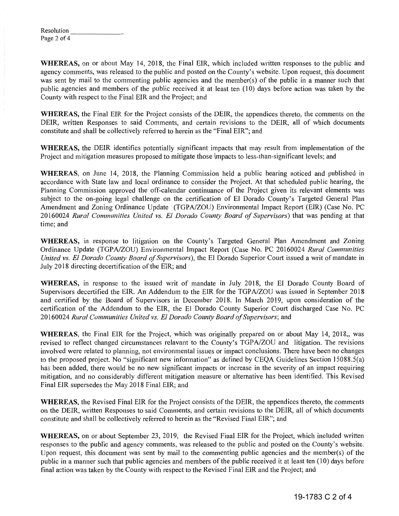| Resolution  |  |
|-------------|--|
| Page 2 of 4 |  |

**WHEREAS,** on or about May 14, 2018, the Final EIR, which included written responses to the public and agency comments, was released to the public and posted on the County's website. Upon request, this document was sent by mail to the commenting public agencies and the member(s) of the public in a manner such that public agencies and members of the public received it at least ten (10) days before action was taken by the County with respect to the Final EIR and the Project; and

**WHEREAS,** the Final EIR for the Project consists of the DEIR, the appendices thereto, the comments on the DEIR, written Responses to said Comments, and certain revisions to the DEIR, all of which documents constitute and shall be collectively referred to herein as the "Final EIR"; and

**WHEREAS,** the DEIR identifies potentially significant impacts that may result from implementation of the Project and mitigation measures proposed to mitigate those impacts to less-than-significant levels; and

**WHEREAS,** on June 14, 2018, the Planning Commission held a public hearing noticed and published in accordance with State law and local ordinance to consider the Project. At that scheduled public hearing, the Planning Commission approved the off-calendar continuance of the Project given its relevant elements was subject to the on-going legal challenge on the certification of El Dorado County's Targeted General Plan Amendment and Zoning Ordinance Update (TGPA/ZOU) Environmental Impact Report (EIR) (Case No. PC 20160024 *Rural Communities United vs. El Dorado County Board of Supervisors)* that was pending at that time; and

**WHEREAS,** in response to litigation on the County's Targeted General Plan Amendment and Zoning Ordinance Update (TGPA/ZOU) Environmental Impact Repoti (Case No. PC 20160024 *Rural Communities United vs. El Dorado County Board of Supervisors*), the El Dorado Superior Court issued a writ of mandate in July 2018 directing decertification of the EIR; and

**WHEREAS,** in response to the issued writ of mandate in July 2018, the El Dorado County Board of Supervisors decertified the EIR. An Addendum to the EIR for the TGPA/ZOU was issued in September 2018 and certified by the Board of Supervisors in December 2018. In March 2019, upon consideration of the certification of the Addendum to the EIR, the El Dorado County Superior Court discharged Case No. PC 20160024 *Rural Communities United vs. El Dorado County Board of Supervisors;* and

**WHEREAS,** the Final EIR for the Project, which was originally prepared on or about May 14, 2018,, was revised to reflect changed circumstances relavant to the County's TGPA/ZOU and litigation. The revisions involved were related to planning, not environmental issues or impact conclusions. There have been no changes to the proposed project. No "significant new information" as defined by CEQA Guidelines Section 15088.5( a) has been added, there would be no new significant impacts or increase in the severity of an impact requiring mitigation, and no considerably different mitigation measure or alternative has been identified. This Revised Final EIR supersedes the May 2018 Final EIR; and

**WHEREAS,** the Revised Final EJR for the Project consists of the DEIR, the appendices thereto, the comments on the DEIR, written Responses to said Comments, and certain revisions to the DEIR, all of which documents constitute and shall be collectively referred to herein as the "Revised Final EIR"; and

**WHEREAS,** on or about September 23, 2019, the Revised Final EIR for the Project, which included written responses to the public and agency comments, was released to the public and posted on the County's website. Upon request, this document was sent by mail to the commenting public agencies and the member(s) of the public in a manner such that public agencies and members of the public received it at least ten ( 10) days before final action was taken by the County with respect to the Revised Final EIR and the Project; and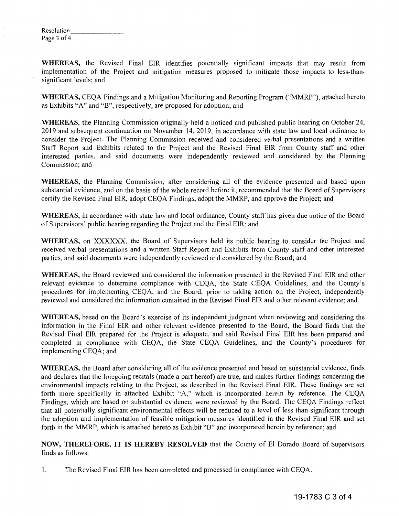| Resolution  |  |
|-------------|--|
| Page 3 of 4 |  |

**WHEREAS,** the Revised Final EIR identifies potentially significant impacts that may result from implementation of the Project and mitigation measures proposed to mitigate those impacts to less-thansignificant levels; and

**WHEREAS,** CEQA Findings and a Mitigation Monitoring and Reporting Program ("MMRP"), attached hereto as Exhibits "A" and "B", respectively, are proposed for adoption; and

**WHEREAS,** the Planning Commission originally held a noticed and published public hearing on October 24, 2019 and subsequent continuation on November 14, 2019, in accordance with state law and local ordinance to consider the Project. The Planning Commission received and considered verbal presentations and a written Staff Report and Exhibits related to the Project and the Revised Final EIR from County staff and other interested parties, and said documents were independently reviewed and considered by the Planning Commission; and

**WHEREAS,** the Planning Commission, after considering all of the evidence presented and based upon substantial evidence, and on the basis of the whole record before it, recommended that the Board of Supervisors certify the Revised Final EIR, adopt CEQA Findings, adopt the MMRP, and approve the Project; and

**WHEREAS,** in accordance with state law and local ordinance, County staff has given due notice of the Board of Supervisors' public hearing regarding the Project and the Final EIR; and

**WHEREAS,** on XXXXXX, the Board of Supervisors held its public hearing to consider the Project and received verbal presentations and a written Staff Report and Exhibits from County staff and other interested parties, and said documents were independently reviewed and considered by the Board; and

**WHEREAS,** the Board reviewed and considered the information presented in the Revised Final EIR and other relevant evidence to determine compliance with CEQA, the State CEQA Guidelines, and the County's procedures for implementing CEQA, and the Board, prior to taking action on the Project, independently reviewed and considered the information contained in the Revised Final EIR and other relevant evidence; and

**WHEREAS,** based on the Board's exercise of its independent judgment when reviewing and considering the information in the Final EIR and other relevant evidence presented to the Board, the Board finds that the Revised Final EIR prepared for the Project is adequate, and said Revised Final EIR has been prepared and completed in compliance with CEQA, the State CEQA Guidelines, and the County's procedures for implementing CEQA; and

**WHEREAS,** the Board after considering all of the evidence presented and based on substantial evidence, finds and declares that the foregoing recitals (made a part hereof) are true, and makes further findings concerning the environmental impacts relating to the Project, as described in the Revised Final EIR. These findings are set forth more specifically in attached Exhibit "A," which is incorporated herein by reference. The CEQA Findings, which are based on substantial evidence, were reviewed by the Board. The CEQA Findings reflect that all potentially significant environmental effects will be reduced to a level of less than significant through the adoption and implementation of feasible mitigation measures identified in the Revised Final EIR and set forth in the MMRP, which is attached hereto as Exhibit "B" and incorporated herein by reference; and

**NOW, THEREFORE, IT IS HEREBY RESOLVED** that the County of El Dorado Board of Supervisors finds as follows:

1. The Revised Final EIR has been completed and processed in compliance with CEQA.